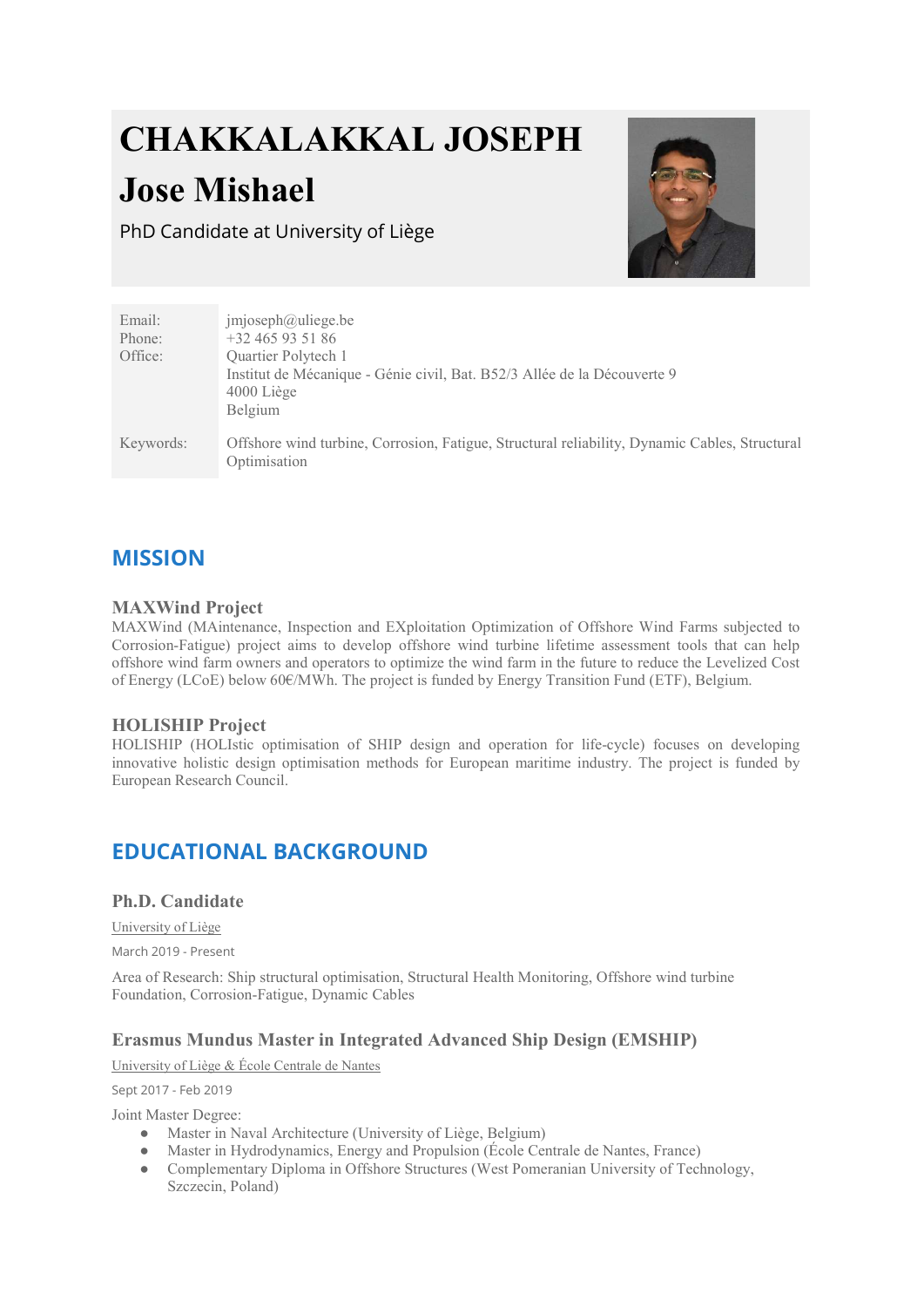# CHAKKALAKKAL JOSEPH

## Jose Mishael

PhD Candidate at University of Liège



| Email:    | imjoseph@uliege.be                                                                                            |
|-----------|---------------------------------------------------------------------------------------------------------------|
| Phone:    | $+32465935186$                                                                                                |
| Office:   | Quartier Polytech 1                                                                                           |
|           | Institut de Mécanique - Génie civil, Bat. B52/3 Allée de la Découverte 9<br>$4000$ Liège<br>Belgium           |
| Keywords: | Offshore wind turbine, Corrosion, Fatigue, Structural reliability, Dynamic Cables, Structural<br>Optimisation |

## MISSION

## MAXWind Project

MAXWind (MAintenance, Inspection and EXploitation Optimization of Offshore Wind Farms subjected to Corrosion-Fatigue) project aims to develop offshore wind turbine lifetime assessment tools that can help offshore wind farm owners and operators to optimize the wind farm in the future to reduce the Levelized Cost of Energy (LCoE) below 60€/MWh. The project is funded by Energy Transition Fund (ETF), Belgium.

## HOLISHIP Project

HOLISHIP (HOLIstic optimisation of SHIP design and operation for life-cycle) focuses on developing innovative holistic design optimisation methods for European maritime industry. The project is funded by European Research Council.

## EDUCATIONAL BACKGROUND

## Ph.D. Candidate

University of Liège

March 2019 - Present

Area of Research: Ship structural optimisation, Structural Health Monitoring, Offshore wind turbine Foundation, Corrosion-Fatigue, Dynamic Cables

## Erasmus Mundus Master in Integrated Advanced Ship Design (EMSHIP)

University of Liège & École Centrale de Nantes

Sept 2017 - Feb 2019

Joint Master Degree:

- Master in Naval Architecture (University of Liège, Belgium)
- Master in Hydrodynamics, Energy and Propulsion (École Centrale de Nantes, France)
- Complementary Diploma in Offshore Structures (West Pomeranian University of Technology, Szczecin, Poland)